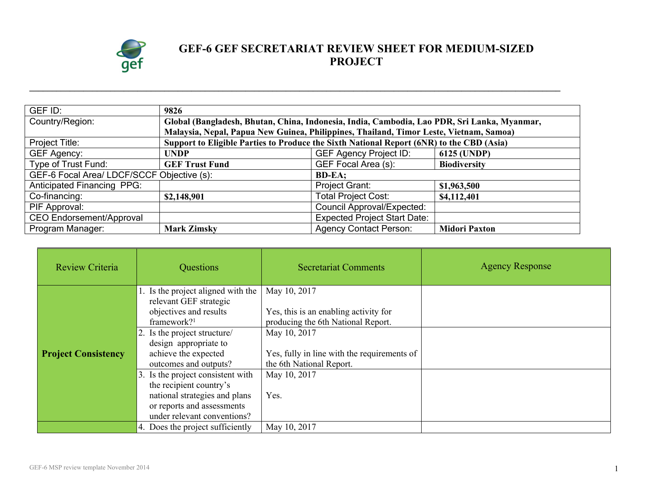

## **GEF-6 GEF SECRETARIAT REVIEW SHEET FOR MEDIUM-SIZED PROJECT**

| GEF ID:                                    | 9826                                                                                        |                                     |                      |
|--------------------------------------------|---------------------------------------------------------------------------------------------|-------------------------------------|----------------------|
| Country/Region:                            | Global (Bangladesh, Bhutan, China, Indonesia, India, Cambodia, Lao PDR, Sri Lanka, Myanmar, |                                     |                      |
|                                            | Malaysia, Nepal, Papua New Guinea, Philippines, Thailand, Timor Leste, Vietnam, Samoa)      |                                     |                      |
| Project Title:                             | Support to Eligible Parties to Produce the Sixth National Report (6NR) to the CBD (Asia)    |                                     |                      |
| <b>GEF Agency:</b>                         | <b>UNDP</b>                                                                                 | <b>GEF Agency Project ID:</b>       | 6125 (UNDP)          |
| Type of Trust Fund:                        | <b>GEF Trust Fund</b>                                                                       | GEF Focal Area (s):                 | <b>Biodiversity</b>  |
| GEF-6 Focal Area/ LDCF/SCCF Objective (s): |                                                                                             | <b>BD-EA:</b>                       |                      |
| <b>Anticipated Financing PPG:</b>          |                                                                                             | Project Grant:                      | \$1,963,500          |
| Co-financing:                              | \$2,148,901                                                                                 | <b>Total Project Cost:</b>          | \$4,112,401          |
| PIF Approval:                              |                                                                                             | <b>Council Approval/Expected:</b>   |                      |
| <b>CEO Endorsement/Approval</b>            |                                                                                             | <b>Expected Project Start Date:</b> |                      |
| Program Manager:                           | <b>Mark Zimsky</b>                                                                          | <b>Agency Contact Person:</b>       | <b>Midori Paxton</b> |

**\_\_\_\_\_\_\_\_\_\_\_\_\_\_\_\_\_\_\_\_\_\_\_\_\_\_\_\_\_\_\_\_\_\_\_\_\_\_\_\_\_\_\_\_\_\_\_\_\_\_\_\_\_\_\_\_\_\_\_\_\_\_\_\_\_\_\_\_\_\_\_\_\_\_\_\_\_\_\_\_\_\_\_\_\_\_\_\_\_\_\_\_\_\_\_\_\_\_\_\_\_\_\_\_\_\_\_\_\_\_\_\_\_\_\_\_\_\_**

| Review Criteria            | Questions                                                                                                                                                                                                                                                                                                                                                                        | <b>Secretariat Comments</b>                                                                                                                                                                                    | <b>Agency Response</b> |
|----------------------------|----------------------------------------------------------------------------------------------------------------------------------------------------------------------------------------------------------------------------------------------------------------------------------------------------------------------------------------------------------------------------------|----------------------------------------------------------------------------------------------------------------------------------------------------------------------------------------------------------------|------------------------|
| <b>Project Consistency</b> | 1. Is the project aligned with the<br>relevant GEF strategic<br>objectives and results<br>framework? $1$<br>2. Is the project structure/<br>design appropriate to<br>achieve the expected<br>outcomes and outputs?<br>3. Is the project consistent with<br>the recipient country's<br>national strategies and plans<br>or reports and assessments<br>under relevant conventions? | May 10, 2017<br>Yes, this is an enabling activity for<br>producing the 6th National Report.<br>May 10, 2017<br>Yes, fully in line with the requirements of<br>the 6th National Report.<br>May 10, 2017<br>Yes. |                        |
|                            | 4. Does the project sufficiently                                                                                                                                                                                                                                                                                                                                                 | May 10, 2017                                                                                                                                                                                                   |                        |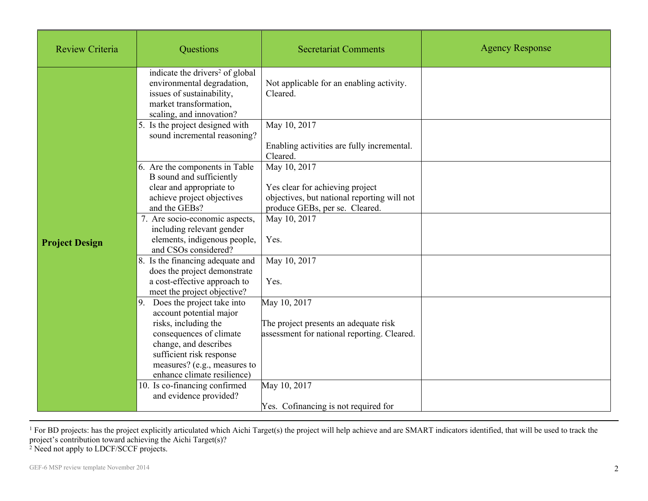| <b>Review Criteria</b> | Questions                                                                                                                                                                                                                           | <b>Secretariat Comments</b>                                                                          | <b>Agency Response</b> |
|------------------------|-------------------------------------------------------------------------------------------------------------------------------------------------------------------------------------------------------------------------------------|------------------------------------------------------------------------------------------------------|------------------------|
|                        | indicate the drivers <sup>2</sup> of global<br>environmental degradation,<br>issues of sustainability,<br>market transformation,<br>scaling, and innovation?                                                                        | Not applicable for an enabling activity.<br>Cleared.                                                 |                        |
|                        | 5. Is the project designed with<br>sound incremental reasoning?                                                                                                                                                                     | May 10, 2017<br>Enabling activities are fully incremental.<br>Cleared.                               |                        |
|                        | 6. Are the components in Table<br>B sound and sufficiently<br>clear and appropriate to<br>achieve project objectives<br>and the GEBs?                                                                                               | May 10, 2017<br>Yes clear for achieving project<br>objectives, but national reporting will not       |                        |
| <b>Project Design</b>  | 7. Are socio-economic aspects,<br>including relevant gender<br>elements, indigenous people,<br>and CSOs considered?                                                                                                                 | produce GEBs, per se. Cleared.<br>May 10, 2017<br>Yes.                                               |                        |
|                        | 8. Is the financing adequate and<br>does the project demonstrate<br>a cost-effective approach to<br>meet the project objective?                                                                                                     | May 10, 2017<br>Yes.                                                                                 |                        |
|                        | Does the project take into<br> 9.<br>account potential major<br>risks, including the<br>consequences of climate<br>change, and describes<br>sufficient risk response<br>measures? (e.g., measures to<br>enhance climate resilience) | May 10, 2017<br>The project presents an adequate risk<br>assessment for national reporting. Cleared. |                        |
|                        | 10. Is co-financing confirmed<br>and evidence provided?                                                                                                                                                                             | May 10, 2017<br>Yes. Cofinancing is not required for                                                 |                        |

<sup>1</sup> For BD projects: has the project explicitly articulated which Aichi Target(s) the project will help achieve and are SMART indicators identified, that will be used to track the project's contribution toward achieving the Aichi Target(s)?

<sup>2</sup> Need not apply to LDCF/SCCF projects.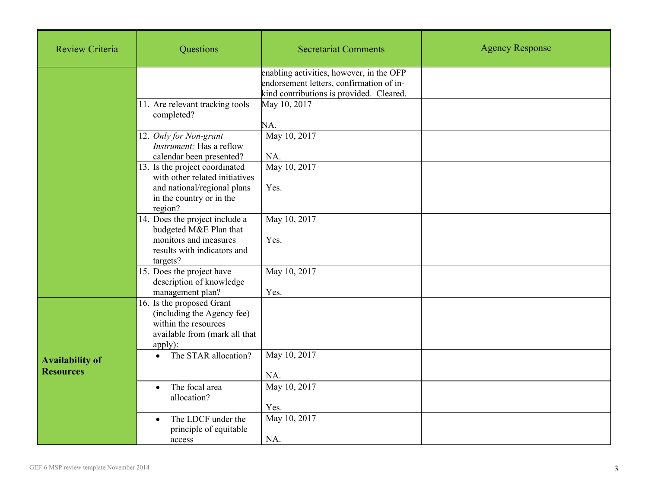| <b>Review Criteria</b>                     | Questions                                                                                                                              | <b>Secretariat Comments</b>                                                                                                      | <b>Agency Response</b> |
|--------------------------------------------|----------------------------------------------------------------------------------------------------------------------------------------|----------------------------------------------------------------------------------------------------------------------------------|------------------------|
|                                            |                                                                                                                                        | enabling activities, however, in the OFP<br>endorsement letters, confirmation of in-<br>kind contributions is provided. Cleared. |                        |
|                                            | 11. Are relevant tracking tools<br>completed?                                                                                          | May 10, 2017<br>NA.                                                                                                              |                        |
|                                            | 12. Only for Non-grant<br>Instrument: Has a reflow<br>calendar been presented?                                                         | May 10, 2017<br>NA.                                                                                                              |                        |
|                                            | 13. Is the project coordinated<br>with other related initiatives<br>and national/regional plans<br>in the country or in the<br>region? | May 10, 2017<br>Yes.                                                                                                             |                        |
|                                            | 14. Does the project include a<br>budgeted M&E Plan that<br>monitors and measures<br>results with indicators and<br>targets?           | May 10, 2017<br>Yes.                                                                                                             |                        |
|                                            | 15. Does the project have<br>description of knowledge<br>management plan?                                                              | May 10, 2017<br>Yes.                                                                                                             |                        |
|                                            | 16. Is the proposed Grant<br>(including the Agency fee)<br>within the resources<br>available from (mark all that<br>apply):            |                                                                                                                                  |                        |
| <b>Availability of</b><br><b>Resources</b> | The STAR allocation?<br>$\bullet$                                                                                                      | May 10, 2017<br>NA.                                                                                                              |                        |
|                                            | The focal area<br>$\bullet$<br>allocation?                                                                                             | May 10, 2017<br>Yes.                                                                                                             |                        |
|                                            | The LDCF under the<br>$\bullet$<br>principle of equitable<br>access                                                                    | May 10, 2017<br>NA.                                                                                                              |                        |